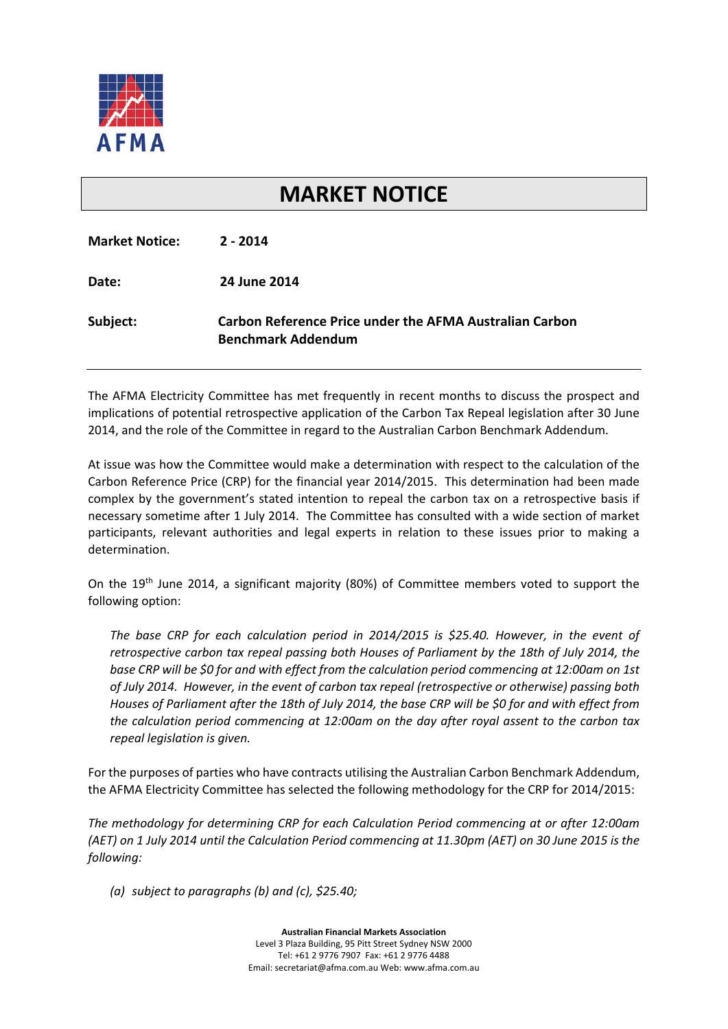

## **MARKET NOTICE**

| <b>Market Notice:</b> | $2 - 2014$                                                                                  |
|-----------------------|---------------------------------------------------------------------------------------------|
| Date:                 | 24 June 2014                                                                                |
| Subject:              | <b>Carbon Reference Price under the AFMA Australian Carbon</b><br><b>Benchmark Addendum</b> |

The AFMA Electricity Committee has met frequently in recent months to discuss the prospect and implications of potential retrospective application of the Carbon Tax Repeal legislation after 30 June 2014, and the role of the Committee in regard to the Australian Carbon Benchmark Addendum.

At issue was how the Committee would make a determination with respect to the calculation of the Carbon Reference Price (CRP) for the financial year 2014/2015. This determination had been made complex by the government's stated intention to repeal the carbon tax on a retrospective basis if necessary sometime after 1 July 2014. The Committee has consulted with a wide section of market participants, relevant authorities and legal experts in relation to these issues prior to making a determination.

On the 19<sup>th</sup> June 2014, a significant majority (80%) of Committee members voted to support the following option:

*The base CRP for each calculation period in 2014/2015 is \$25.40. However, in the event of retrospective carbon tax repeal passing both Houses of Parliament by the 18th of July 2014, the base CRP will be \$0 for and with effect from the calculation period commencing at 12:00am on 1st of July 2014. However, in the event of carbon tax repeal (retrospective or otherwise) passing both* Houses of Parliament after the 18th of July 2014, the base CRP will be \$0 for and with effect from *the calculation period commencing at 12:00am on the day after royal assent to the carbon tax repeal legislation is given.*

For the purposes of parties who have contracts utilising the Australian Carbon Benchmark Addendum, the AFMA Electricity Committee has selected the following methodology for the CRP for 2014/2015:

*The methodology for determining CRP for each Calculation Period commencing at or after 12:00am* (AET) on 1 July 2014 until the Calculation Period commencing at 11.30pm (AET) on 30 June 2015 is the *following:*

*(a) subject to paragraphs (b) and (c), \$25.40;*